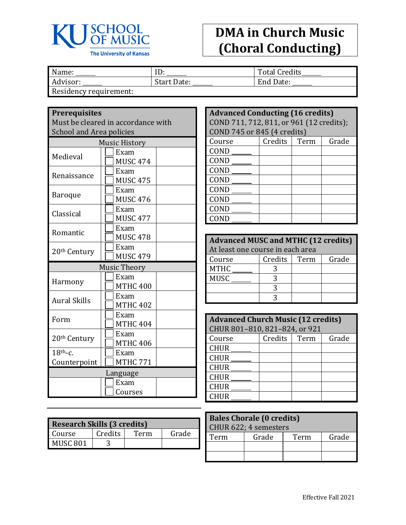

## **DMA in Church Music (Choral Conducting)**

| Name:                  | ID.                | <b>Total Credits</b> |
|------------------------|--------------------|----------------------|
| Advisor:               | <b>Start Date:</b> | End Date:            |
| Residency requirement: |                    |                      |

**Prerequisites**

| Must be cleared in accordance with<br><b>School and Area policies</b> |                         |  |  |
|-----------------------------------------------------------------------|-------------------------|--|--|
|                                                                       | <b>Music History</b>    |  |  |
| Medieval                                                              | Exam<br><b>MUSC 474</b> |  |  |
| Renaissance                                                           | Exam<br><b>MUSC 475</b> |  |  |
| Baroque                                                               | Exam<br><b>MUSC 476</b> |  |  |
| Classical                                                             | Exam<br><b>MUSC 477</b> |  |  |
| Romantic                                                              | Exam<br><b>MUSC 478</b> |  |  |
| 20 <sup>th</sup> Century                                              | Exam<br><b>MUSC 479</b> |  |  |
| <b>Music Theory</b>                                                   |                         |  |  |
| Harmony                                                               | Exam<br><b>MTHC 400</b> |  |  |
| <b>Aural Skills</b>                                                   | Exam<br><b>MTHC 402</b> |  |  |
| Form                                                                  | Exam<br><b>MTHC 404</b> |  |  |
| 20 <sup>th</sup> Century                                              | Exam<br><b>MTHC 406</b> |  |  |
| $18th$ -c.                                                            | Exam                    |  |  |
| Counterpoint                                                          | <b>MTHC 771</b>         |  |  |
|                                                                       | Language                |  |  |
| Exam                                                                  |                         |  |  |
|                                                                       | Courses                 |  |  |

| <b>Research Skills (3 credits)</b> |         |      |       |
|------------------------------------|---------|------|-------|
| Course                             | Credits | Term | Grade |
| MUSC 801                           |         |      |       |

| <b>Advanced Conducting (16 credits)</b>  |                |  |       |
|------------------------------------------|----------------|--|-------|
| COND 711, 712, 811, or 961 (12 credits); |                |  |       |
| COND 745 or 845 (4 credits)              |                |  |       |
| Course                                   | Credits   Term |  | Grade |
| COND                                     |                |  |       |
| COND                                     |                |  |       |
| COND                                     |                |  |       |
| COND                                     |                |  |       |
| COND                                     |                |  |       |
| COND                                     |                |  |       |
| COND                                     |                |  |       |
| CONE                                     |                |  |       |

| <b>Advanced MUSC and MTHC (12 credits)</b> |         |      |       |  |
|--------------------------------------------|---------|------|-------|--|
| At least one course in each area           |         |      |       |  |
| Course                                     | Credits | Term | Grade |  |
| <b>MTHC</b>                                |         |      |       |  |
| <b>MUSC</b>                                | 3       |      |       |  |
|                                            |         |      |       |  |
|                                            |         |      |       |  |

| <b>Advanced Church Music (12 credits)</b> |         |      |       |
|-------------------------------------------|---------|------|-------|
| CHUR 801-810, 821-824, or 921             |         |      |       |
| Course                                    | Credits | Term | Grade |
| <b>CHUR</b>                               |         |      |       |
| <b>CHUR</b>                               |         |      |       |
| <b>CHUR</b>                               |         |      |       |
| <b>CHUR</b>                               |         |      |       |
| <b>CHUR</b>                               |         |      |       |
| <b>CHUR</b>                               |         |      |       |

| <b>Bales Chorale (0 credits)</b><br>CHUR 622; 4 semesters |                        |  |  |  |
|-----------------------------------------------------------|------------------------|--|--|--|
| Term                                                      | Grade<br>Grade<br>Term |  |  |  |
|                                                           |                        |  |  |  |
|                                                           |                        |  |  |  |